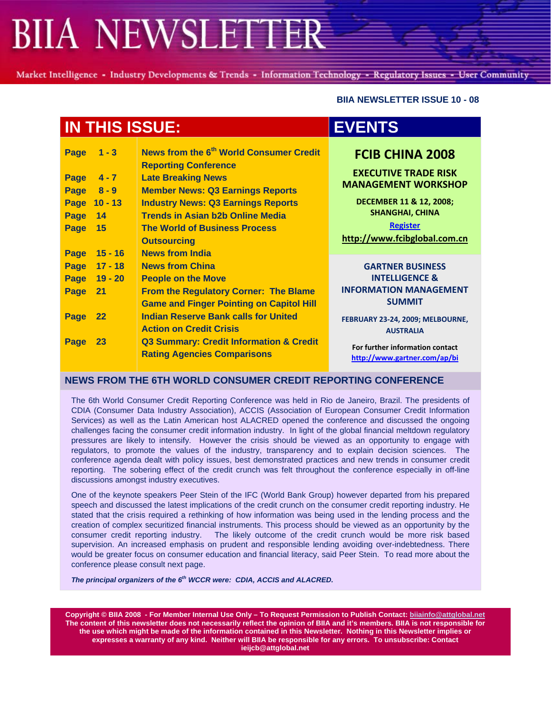Market Intelligence - Industry Developments & Trends - Information Technology - Regulatory Issues - User Community

 **BIIA NEWSLETTER ISSUE 10 - 08** 

| <b>IN THIS ISSUE:</b> |                               |                                                                                                                                                            | <b>EVENTS</b>                                                                       |
|-----------------------|-------------------------------|------------------------------------------------------------------------------------------------------------------------------------------------------------|-------------------------------------------------------------------------------------|
| Page<br>Page<br>Page  | $1 - 3$<br>$4 - 7$<br>$8 - 9$ | News from the 6 <sup>th</sup> World Consumer Credit<br><b>Reporting Conference</b><br><b>Late Breaking News</b><br><b>Member News: Q3 Earnings Reports</b> | <b>FCIB CHINA 2008</b><br><b>EXECUTIVE TRADE RISK</b><br><b>MANAGEMENT WORKSHOP</b> |
|                       | Page 10 - 13                  | <b>Industry News: Q3 Earnings Reports</b>                                                                                                                  | DECEMBER 11 & 12, 2008;                                                             |
| Page                  | 14                            | <b>Trends in Asian b2b Online Media</b>                                                                                                                    | <b>SHANGHAI, CHINA</b>                                                              |
| Page                  | 15                            | <b>The World of Business Process</b>                                                                                                                       | <b>Register</b>                                                                     |
|                       |                               | <b>Outsourcing</b>                                                                                                                                         | http://www.fcibglobal.com.cn                                                        |
| Page                  | $15 - 16$                     | <b>News from India</b>                                                                                                                                     |                                                                                     |
| <b>Page</b>           | $17 - 18$                     | <b>News from China</b>                                                                                                                                     | <b>GARTNER BUSINESS</b>                                                             |
| <b>Page</b>           | $19 - 20$                     | <b>People on the Move</b>                                                                                                                                  | <b>INTELLIGENCE &amp;</b>                                                           |
| Page                  | 21                            | From the Regulatory Corner: The Blame                                                                                                                      | <b>INFORMATION MANAGEMENT</b>                                                       |
|                       |                               | <b>Game and Finger Pointing on Capitol Hill</b>                                                                                                            | <b>SUMMIT</b>                                                                       |
| Page                  | 22                            | <b>Indian Reserve Bank calls for United</b>                                                                                                                | FEBRUARY 23-24, 2009; MELBOURNE,                                                    |
|                       |                               | <b>Action on Credit Crisis</b>                                                                                                                             | <b>AUSTRALIA</b>                                                                    |
| Page                  | 23                            | <b>Q3 Summary: Credit Information &amp; Credit</b>                                                                                                         | For further information contact                                                     |
|                       |                               | <b>Rating Agencies Comparisons</b>                                                                                                                         | http://www.gartner.com/ap/bi                                                        |

#### **NEWS FROM THE 6TH WORLD CONSUMER CREDIT REPORTING CONFERENCE**

The 6th World Consumer Credit Reporting Conference was held in Rio de Janeiro, Brazil. The presidents of CDIA (Consumer Data Industry Association), ACCIS (Association of European Consumer Credit Information Services) as well as the Latin American host ALACRED opened the conference and discussed the ongoing challenges facing the consumer credit information industry. In light of the global financial meltdown regulatory pressures are likely to intensify. However the crisis should be viewed as an opportunity to engage with regulators, to promote the values of the industry, transparency and to explain decision sciences. The conference agenda dealt with policy issues, best demonstrated practices and new trends in consumer credit reporting. The sobering effect of the credit crunch was felt throughout the conference especially in off-line discussions amongst industry executives.

One of the keynote speakers Peer Stein of the IFC (World Bank Group) however departed from his prepared speech and discussed the latest implications of the credit crunch on the consumer credit reporting industry. He stated that the crisis required a rethinking of how information was being used in the lending process and the creation of complex securitized financial instruments. This process should be viewed as an opportunity by the consumer credit reporting industry. The likely outcome of the credit crunch would be more risk based supervision. An increased emphasis on prudent and responsible lending avoiding over-indebtedness. There would be greater focus on consumer education and financial literacy, said Peer Stein. To read more about the conference please consult next page.

The principal organizers of the 6<sup>th</sup> WCCR were: CDIA, ACCIS and ALACRED.

**Copyright © BIIA 2008 - For Member Internal Use Only – To Request Permission to Publish Contact: biiainfo@attglobal.net The content of this newsletter does not necessarily reflect the opinion of BIIA and it's members. BIIA is not responsible for the use which might be made of the information contained in this Newsletter. Nothing in this Newsletter implies or expresses a warranty of any kind. Neither will BIIA be responsible for any errors. To unsubscribe: Contact ieijcb@attglobal.net**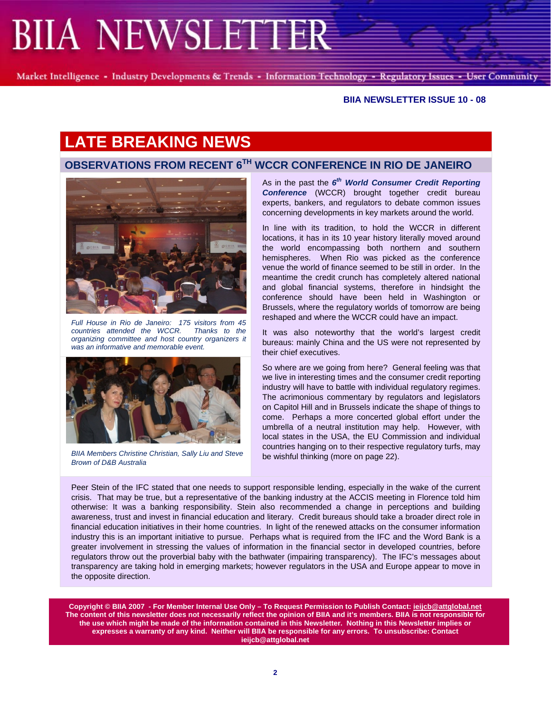Market Intelligence - Industry Developments & Trends - Information Technology - Regulatory Issues - User Community

#### **BIIA NEWSLETTER ISSUE 10 - 08**

# **LATE BREAKING NEWS**

### **OBSERVATIONS FROM RECENT 6TH WCCR CONFERENCE IN RIO DE JANEIRO**



*Full House in Rio de Janeiro: 175 visitors from 45 countries attended the WCCR. Thanks to the organizing committee and host country organizers it was an informative and memorable event.*



be wishful thinking (more on page 22). *BIIA Members Christine Christian, Sally Liu and Steve Brown of D&B Australia* 

As in the past the *6th World Consumer Credit Reporting*  **Conference** (WCCR) brought together credit bureau experts, bankers, and regulators to debate common issues concerning developments in key markets around the world.

In line with its tradition, to hold the WCCR in different locations, it has in its 10 year history literally moved around the world encompassing both northern and southern hemispheres. When Rio was picked as the conference venue the world of finance seemed to be still in order. In the meantime the credit crunch has completely altered national and global financial systems, therefore in hindsight the conference should have been held in Washington or Brussels, where the regulatory worlds of tomorrow are being reshaped and where the WCCR could have an impact.

It was also noteworthy that the world's largest credit bureaus: mainly China and the US were not represented by their chief executives.

So where are we going from here? General feeling was that we live in interesting times and the consumer credit reporting industry will have to battle with individual regulatory regimes. The acrimonious commentary by regulators and legislators on Capitol Hill and in Brussels indicate the shape of things to come. Perhaps a more concerted global effort under the umbrella of a neutral institution may help. However, with local states in the USA, the EU Commission and individual countries hanging on to their respective regulatory turfs, may

Peer Stein of the IFC stated that one needs to support responsible lending, especially in the wake of the current crisis. That may be true, but a representative of the banking industry at the ACCIS meeting in Florence told him otherwise: It was a banking responsibility. Stein also recommended a change in perceptions and building awareness, trust and invest in financial education and literary. Credit bureaus should take a broader direct role in financial education initiatives in their home countries. In light of the renewed attacks on the consumer information industry this is an important initiative to pursue. Perhaps what is required from the IFC and the Word Bank is a greater involvement in stressing the values of information in the financial sector in developed countries, before regulators throw out the proverbial baby with the bathwater (impairing transparency). The IFC's messages about transparency are taking hold in emerging markets; however regulators in the USA and Europe appear to move in the opposite direction.

**Copyright © BIIA 2007 - For Member Internal Use Only – To Request Permission to Publish Contact: ieijcb@attglobal.net The content of this newsletter does not necessarily reflect the opinion of BIIA and it's members. BIIA is not responsible for the use which might be made of the information contained in this Newsletter. Nothing in this Newsletter implies or expresses a warranty of any kind. Neither will BIIA be responsible for any errors. To unsubscribe: Contact ieijcb@attglobal.net**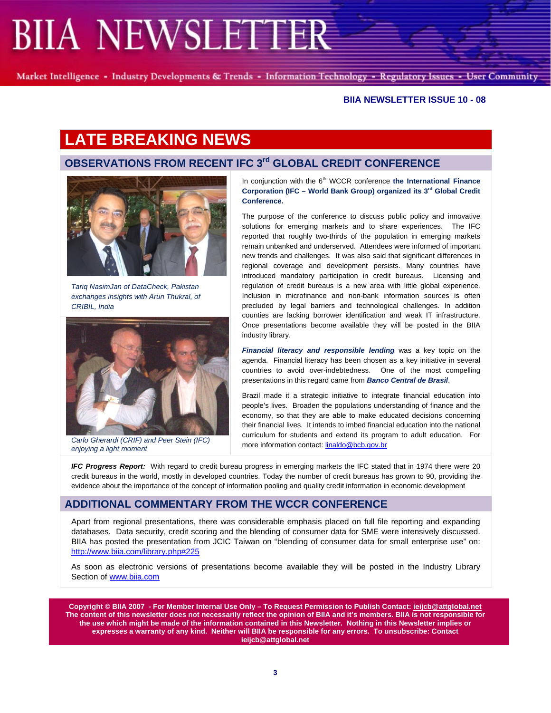Market Intelligence - Industry Developments & Trends - Information Technology - Regulatory Issues - User Community

#### **BIIA NEWSLETTER ISSUE 10 - 08**

## **LATE BREAKING NEWS**

## **OBSERVATIONS FROM RECENT IFC 3<sup>rd</sup> GLOBAL CREDIT CONFERENCE**



*Tariq NasimJan of DataCheck, Pakistan exchanges insights with Arun Thukral, of CRIBIL, India*



*enjoying a light moment* 

In conjunction with the 6<sup>th</sup> WCCR conference the International Finance **Corporation (IFC – World Bank Group) organized its 3rd Global Credit Conference.**

The purpose of the conference to discuss public policy and innovative solutions for emerging markets and to share experiences. The IFC reported that roughly two-thirds of the population in emerging markets remain unbanked and underserved. Attendees were informed of important new trends and challenges. It was also said that significant differences in regional coverage and development persists. Many countries have introduced mandatory participation in credit bureaus. Licensing and regulation of credit bureaus is a new area with little global experience. Inclusion in microfinance and non-bank information sources is often precluded by legal barriers and technological challenges. In addition counties are lacking borrower identification and weak IT infrastructure. Once presentations become available they will be posted in the BIIA industry library.

*Financial literacy and responsible lending* was a key topic on the agenda. Financial literacy has been chosen as a key initiative in several countries to avoid over-indebtedness. One of the most compelling presentations in this regard came from *Banco Central de Brasil*.

Brazil made it a strategic initiative to integrate financial education into people's lives. Broaden the populations understanding of finance and the economy, so that they are able to make educated decisions concerning their financial lives. It intends to imbed financial education into the national curriculum for students and extend its program to adult education. For more information contact: linaldo@bcb.gov.br *Carlo Gherardi (CRIF) and Peer Stein (IFC)* 

*IFC Progress Report:* With regard to credit bureau progress in emerging markets the IFC stated that in 1974 there were 20 credit bureaus in the world, mostly in developed countries. Today the number of credit bureaus has grown to 90, providing the evidence about the importance of the concept of information pooling and quality credit information in economic development

#### **ADDITIONAL COMMENTARY FROM THE WCCR CONFERENCE**

Apart from regional presentations, there was considerable emphasis placed on full file reporting and expanding databases. Data security, credit scoring and the blending of consumer data for SME were intensively discussed. BIIA has posted the presentation from JCIC Taiwan on "blending of consumer data for small enterprise use" on: http://www.biia.com/library.php#225

As soon as electronic versions of presentations become available they will be posted in the Industry Library Section of www.biia.com

**Copyright © BIIA 2007 - For Member Internal Use Only – To Request Permission to Publish Contact: ieijcb@attglobal.net The content of this newsletter does not necessarily reflect the opinion of BIIA and it's members. BIIA is not responsible for the use which might be made of the information contained in this Newsletter. Nothing in this Newsletter implies or expresses a warranty of any kind. Neither will BIIA be responsible for any errors. To unsubscribe: Contact ieijcb@attglobal.net**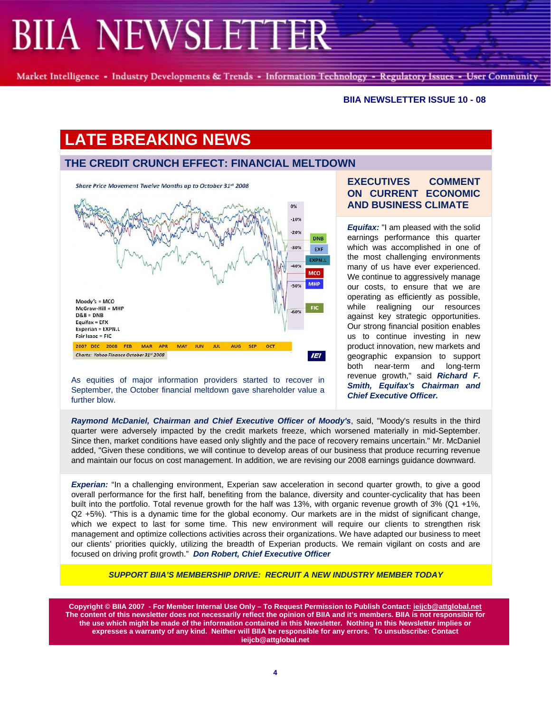Market Intelligence - Industry Developments & Trends - Information Technology - Regulatory Issues - User Community

#### **BIIA NEWSLETTER ISSUE 10 - 08**

# **LATE BREAKING NEWS**

## **THE CREDIT CRUNCH EFFECT: FINANCIAL MELTDOWN**



As equities of major information providers started to recover in September, the October financial meltdown gave shareholder value a further blow.

### **EXECUTIVES COMMENT ON CURRENT ECONOMIC AND BUSINESS CLIMATE**

*Equifax:* "I am pleased with the solid earnings performance this quarter which was accomplished in one of the most challenging environments many of us have ever experienced. We continue to aggressively manage our costs, to ensure that we are operating as efficiently as possible, while realigning our resources against key strategic opportunities. Our strong financial position enables us to continue investing in new product innovation, new markets and geographic expansion to support both near-term and long-term revenue growth," said *Richard F. Smith, Equifax's Chairman and Chief Executive Officer.*

*Raymond McDaniel, Chairman and Chief Executive Officer of Moody's*, said, "Moody's results in the third quarter were adversely impacted by the credit markets freeze, which worsened materially in mid-September. Since then, market conditions have eased only slightly and the pace of recovery remains uncertain." Mr. McDaniel added, "Given these conditions, we will continue to develop areas of our business that produce recurring revenue and maintain our focus on cost management. In addition, we are revising our 2008 earnings guidance downward.

**Experian:** "In a challenging environment, Experian saw acceleration in second quarter growth, to give a good overall performance for the first half, benefiting from the balance, diversity and counter-cyclicality that has been built into the portfolio. Total revenue growth for the half was 13%, with organic revenue growth of 3% (Q1 +1%, Q2 +5%). "This is a dynamic time for the global economy. Our markets are in the midst of significant change, which we expect to last for some time. This new environment will require our clients to strengthen risk management and optimize collections activities across their organizations. We have adapted our business to meet our clients' priorities quickly, utilizing the breadth of Experian products. We remain vigilant on costs and are focused on driving profit growth." *Don Robert, Chief Executive Officer*

*SUPPORT BIIA'S MEMBERSHIP DRIVE: RECRUIT A NEW INDUSTRY MEMBER TODAY* 

**Copyright © BIIA 2007 - For Member Internal Use Only – To Request Permission to Publish Contact: ieijcb@attglobal.net The content of this newsletter does not necessarily reflect the opinion of BIIA and it's members. BIIA is not responsible for the use which might be made of the information contained in this Newsletter. Nothing in this Newsletter implies or expresses a warranty of any kind. Neither will BIIA be responsible for any errors. To unsubscribe: Contact ieijcb@attglobal.net**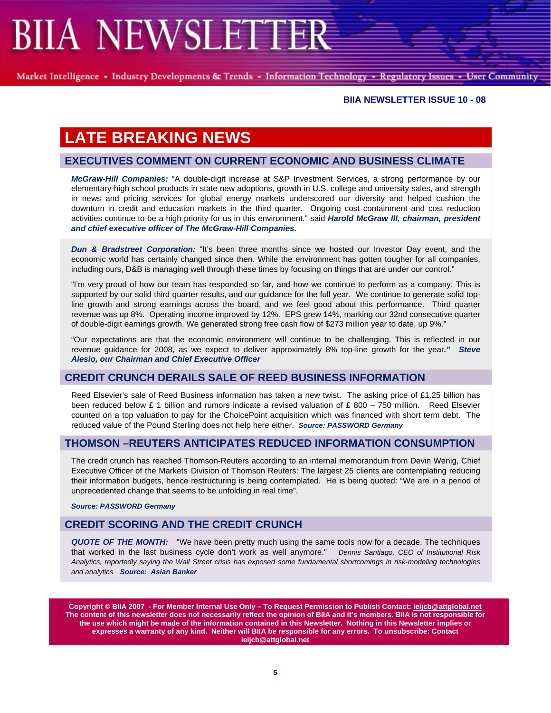Market Intelligence - Industry Developments & Trends - Information Technology - Regulatory Issues - User Community

#### **BIIA NEWSLETTER ISSUE 10 - 08**

# **LATE BREAKING NEWS**

### **EXECUTIVES COMMENT ON CURRENT ECONOMIC AND BUSINESS CLIMATE**

*McGraw-Hill Companies:* "A double-digit increase at S&P Investment Services, a strong performance by our elementary-high school products in state new adoptions, growth in U.S. college and university sales, and strength in news and pricing services for global energy markets underscored our diversity and helped cushion the downturn in credit and education markets in the third quarter. Ongoing cost containment and cost reduction activities continue to be a high priority for us in this environment." said *Harold McGraw III, chairman, president and chief executive officer of The McGraw-Hill Companies.* 

*Dun & Bradstreet Corporation:* "It's been three months since we hosted our Investor Day event, and the economic world has certainly changed since then. While the environment has gotten tougher for all companies, including ours, D&B is managing well through these times by focusing on things that are under our control."

"I'm very proud of how our team has responded so far, and how we continue to perform as a company. This is supported by our solid third quarter results, and our guidance for the full year. We continue to generate solid topline growth and strong earnings across the board, and we feel good about this performance. Third quarter revenue was up 8%. Operating income improved by 12%. EPS grew 14%, marking our 32nd consecutive quarter of double-digit earnings growth. We generated strong free cash flow of \$273 million year to date, up 9%."

"Our expectations are that the economic environment will continue to be challenging. This is reflected in our revenue guidance for 2008, as we expect to deliver approximately 8% top-line growth for the year*." Steve Alesio, our Chairman and Chief Executive Officer* 

#### **CREDIT CRUNCH DERAILS SALE OF REED BUSINESS INFORMATION**

Reed Elsevier's sale of Reed Business information has taken a new twist. The asking price of £1.25 billion has been reduced below £ 1 billion and rumors indicate a revised valuation of £ 800 – 750 million. Reed Elsevier counted on a top valuation to pay for the ChoicePoint acquisition which was financed with short term debt. The reduced value of the Pound Sterling does not help here either. *Source: PASSWORD Germany*

### **THOMSON –REUTERS ANTICIPATES REDUCED INFORMATION CONSUMPTION**

The credit crunch has reached Thomson-Reuters according to an internal memorandum from Devin Wenig, Chief Executive Officer of the Markets Division of Thomson Reuters: The largest 25 clients are contemplating reducing their information budgets, hence restructuring is being contemplated. He is being quoted: "We are in a period of unprecedented change that seems to be unfolding in real time".

*Source: PASSWORD Germany*

### **CREDIT SCORING AND THE CREDIT CRUNCH**

*QUOTE OF THE MONTH:* "We have been pretty much using the same tools now for a decade. The techniques that worked in the last business cycle don't work as well anymore." *Dennis Santiago, CEO of Institutional Risk Analytics, reportedly saying the Wall Street crisis has exposed some fundamental shortcomings in risk-modeling technologies and analytics Source: Asian Banker*

**Copyright © BIIA 2007 - For Member Internal Use Only – To Request Permission to Publish Contact: ieijcb@attglobal.net The content of this newsletter does not necessarily reflect the opinion of BIIA and it's members. BIIA is not responsible for the use which might be made of the information contained in this Newsletter. Nothing in this Newsletter implies or expresses a warranty of any kind. Neither will BIIA be responsible for any errors. To unsubscribe: Contact ieijcb@attglobal.net**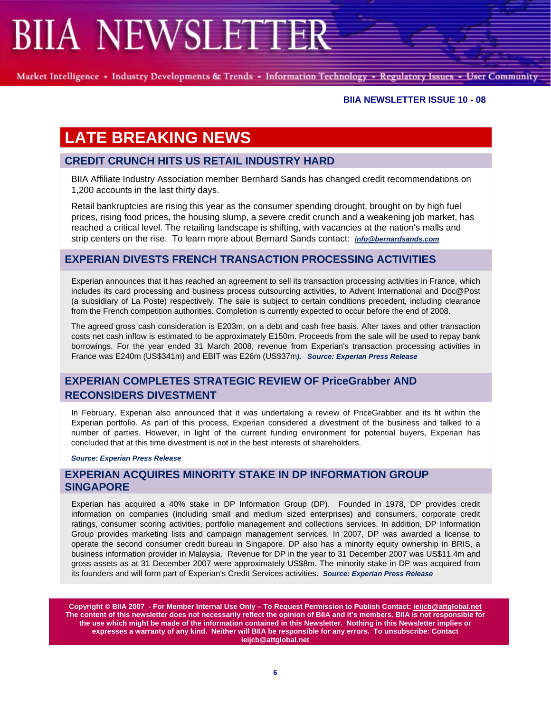Market Intelligence - Industry Developments & Trends - Information Technology - Regulatory Issues - User Community

#### **BIIA NEWSLETTER ISSUE 10 - 08**

# **LATE BREAKING NEWS**

### **CREDIT CRUNCH HITS US RETAIL INDUSTRY HARD**

BIIA Affiliate Industry Association member Bernhard Sands has changed credit recommendations on 1,200 accounts in the last thirty days.

Retail bankruptcies are rising this year as the consumer spending drought, brought on by high fuel prices, rising food prices, the housing slump, a severe credit crunch and a weakening job market, has reached a critical level. The retailing landscape is shifting, with vacancies at the nation's malls and strip centers on the rise. To learn more about Bernard Sands contact: *info@bernardsands.com*

### **EXPERIAN DIVESTS FRENCH TRANSACTION PROCESSING ACTIVITIES**

Experian announces that it has reached an agreement to sell its transaction processing activities in France, which includes its card processing and business process outsourcing activities, to Advent International and Doc@Post (a subsidiary of La Poste) respectively. The sale is subject to certain conditions precedent, including clearance from the French competition authorities. Completion is currently expected to occur before the end of 2008.

The agreed gross cash consideration is E203m, on a debt and cash free basis. After taxes and other transaction costs net cash inflow is estimated to be approximately E150m. Proceeds from the sale will be used to repay bank borrowings. For the year ended 31 March 2008, revenue from Experian's transaction processing activities in France was E240m (US\$341m) and EBIT was E26m (US\$37m*). Source: Experian Press Release* 

## **EXPERIAN COMPLETES STRATEGIC REVIEW OF PriceGrabber AND RECONSIDERS DIVESTMENT**

In February, Experian also announced that it was undertaking a review of PriceGrabber and its fit within the Experian portfolio. As part of this process, Experian considered a divestment of the business and talked to a number of parties. However, in light of the current funding environment for potential buyers, Experian has concluded that at this time divestment is not in the best interests of shareholders.

*Source: Experian Press Release*

### **EXPERIAN ACQUIRES MINORITY STAKE IN DP INFORMATION GROUP SINGAPORE**

Experian has acquired a 40% stake in DP Information Group (DP). Founded in 1978, DP provides credit information on companies (including small and medium sized enterprises) and consumers, corporate credit ratings, consumer scoring activities, portfolio management and collections services. In addition, DP Information Group provides marketing lists and campaign management services. In 2007, DP was awarded a license to operate the second consumer credit bureau in Singapore. DP also has a minority equity ownership in BRIS, a business information provider in Malaysia. Revenue for DP in the year to 31 December 2007 was US\$11.4m and gross assets as at 31 December 2007 were approximately US\$8m. The minority stake in DP was acquired from its founders and will form part of Experian's Credit Services activities. *Source: Experian Press Release*

**Copyright © BIIA 2007 - For Member Internal Use Only – To Request Permission to Publish Contact: ieijcb@attglobal.net The content of this newsletter does not necessarily reflect the opinion of BIIA and it's members. BIIA is not responsible for the use which might be made of the information contained in this Newsletter. Nothing in this Newsletter implies or expresses a warranty of any kind. Neither will BIIA be responsible for any errors. To unsubscribe: Contact ieijcb@attglobal.net**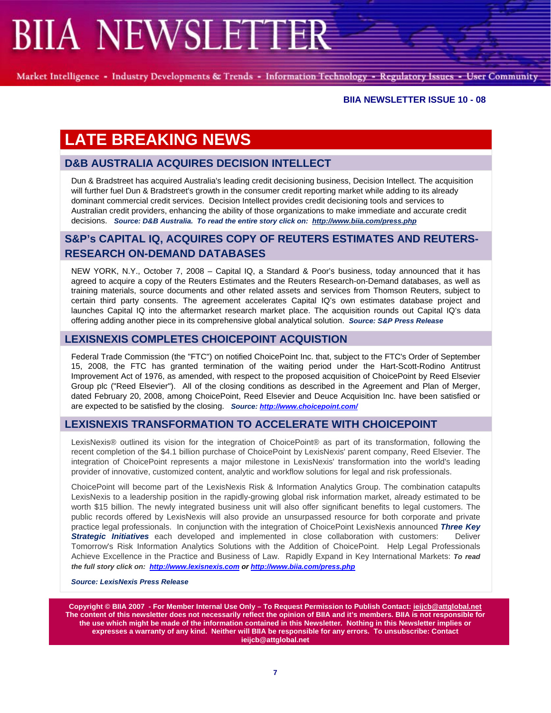Market Intelligence - Industry Developments & Trends - Information Technology - Regulatory Issues - User Community

#### **BIIA NEWSLETTER ISSUE 10 - 08**

# **LATE BREAKING NEWS**

### **D&B AUSTRALIA ACQUIRES DECISION INTELLECT**

Dun & Bradstreet has acquired Australia's leading credit decisioning business, Decision Intellect. The acquisition will further fuel Dun & Bradstreet's growth in the consumer credit reporting market while adding to its already dominant commercial credit services. Decision Intellect provides credit decisioning tools and services to Australian credit providers, enhancing the ability of those organizations to make immediate and accurate credit decisions. *Source: D&B Australia. To read the entire story click on: http://www.biia.com/press.php*

## **S&P's CAPITAL IQ, ACQUIRES COPY OF REUTERS ESTIMATES AND REUTERS-RESEARCH ON-DEMAND DATABASES**

NEW YORK, N.Y., October 7, 2008 – Capital IQ, a Standard & Poor's business, today announced that it has agreed to acquire a copy of the Reuters Estimates and the Reuters Research-on-Demand databases, as well as training materials, source documents and other related assets and services from Thomson Reuters, subject to certain third party consents. The agreement accelerates Capital IQ's own estimates database project and launches Capital IQ into the aftermarket research market place. The acquisition rounds out Capital IQ's data offering adding another piece in its comprehensive global analytical solution. *Source: S&P Press Release* 

### **LEXISNEXIS COMPLETES CHOICEPOINT ACQUISTION**

Federal Trade Commission (the "FTC") on notified ChoicePoint Inc. that, subject to the FTC's Order of September 15, 2008, the FTC has granted termination of the waiting period under the Hart-Scott-Rodino Antitrust Improvement Act of 1976, as amended, with respect to the proposed acquisition of ChoicePoint by Reed Elsevier Group plc ("Reed Elsevier"). All of the closing conditions as described in the Agreement and Plan of Merger, dated February 20, 2008, among ChoicePoint, Reed Elsevier and Deuce Acquisition Inc. have been satisfied or are expected to be satisfied by the closing. *Source: http://www.choicepoint.com/*

### **LEXISNEXIS TRANSFORMATION TO ACCELERATE WITH CHOICEPOINT**

LexisNexis® outlined its vision for the integration of ChoicePoint® as part of its transformation, following the recent completion of the \$4.1 billion purchase of ChoicePoint by LexisNexis' parent company, Reed Elsevier. The integration of ChoicePoint represents a major milestone in LexisNexis' transformation into the world's leading provider of innovative, customized content, analytic and workflow solutions for legal and risk professionals.

ChoicePoint will become part of the LexisNexis Risk & Information Analytics Group. The combination catapults LexisNexis to a leadership position in the rapidly-growing global risk information market, already estimated to be worth \$15 billion. The newly integrated business unit will also offer significant benefits to legal customers. The public records offered by LexisNexis will also provide an unsurpassed resource for both corporate and private practice legal professionals. In conjunction with the integration of ChoicePoint LexisNexis announced *Three Key Strategic Initiatives* each developed and implemented in close collaboration with customers: Deliver Tomorrow's Risk Information Analytics Solutions with the Addition of ChoicePoint. Help Legal Professionals Achieve Excellence in the Practice and Business of Law. Rapidly Expand in Key International Markets: *To read the full story click on: http://www.lexisnexis.com or http://www.biia.com/press.php*

#### *Source: LexisNexis Press Release*

**Copyright © BIIA 2007 - For Member Internal Use Only – To Request Permission to Publish Contact: ieijcb@attglobal.net The content of this newsletter does not necessarily reflect the opinion of BIIA and it's members. BIIA is not responsible for the use which might be made of the information contained in this Newsletter. Nothing in this Newsletter implies or expresses a warranty of any kind. Neither will BIIA be responsible for any errors. To unsubscribe: Contact ieijcb@attglobal.net**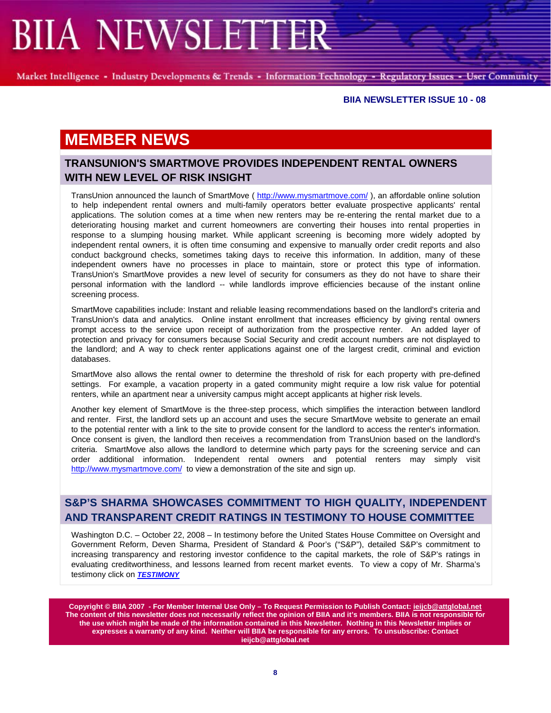Market Intelligence - Industry Developments & Trends - Information Technology - Regulatory Issues - User Community

#### **BIIA NEWSLETTER ISSUE 10 - 08**

## **MEMBER NEWS**

## **TRANSUNION'S SMARTMOVE PROVIDES INDEPENDENT RENTAL OWNERS WITH NEW LEVEL OF RISK INSIGHT**

TransUnion announced the launch of SmartMove ( http://www.mysmartmove.com/ ), an affordable online solution to help independent rental owners and multi-family operators better evaluate prospective applicants' rental applications. The solution comes at a time when new renters may be re-entering the rental market due to a deteriorating housing market and current homeowners are converting their houses into rental properties in response to a slumping housing market. While applicant screening is becoming more widely adopted by independent rental owners, it is often time consuming and expensive to manually order credit reports and also conduct background checks, sometimes taking days to receive this information. In addition, many of these independent owners have no processes in place to maintain, store or protect this type of information. TransUnion's SmartMove provides a new level of security for consumers as they do not have to share their personal information with the landlord -- while landlords improve efficiencies because of the instant online screening process.

SmartMove capabilities include: Instant and reliable leasing recommendations based on the landlord's criteria and TransUnion's data and analytics. Online instant enrollment that increases efficiency by giving rental owners prompt access to the service upon receipt of authorization from the prospective renter. An added layer of protection and privacy for consumers because Social Security and credit account numbers are not displayed to the landlord; and A way to check renter applications against one of the largest credit, criminal and eviction databases.

SmartMove also allows the rental owner to determine the threshold of risk for each property with pre-defined settings. For example, a vacation property in a gated community might require a low risk value for potential renters, while an apartment near a university campus might accept applicants at higher risk levels.

Another key element of SmartMove is the three-step process, which simplifies the interaction between landlord and renter. First, the landlord sets up an account and uses the secure SmartMove website to generate an email to the potential renter with a link to the site to provide consent for the landlord to access the renter's information. Once consent is given, the landlord then receives a recommendation from TransUnion based on the landlord's criteria. SmartMove also allows the landlord to determine which party pays for the screening service and can order additional information. Independent rental owners and potential renters may simply visit http://www.mysmartmove.com/ to view a demonstration of the site and sign up.

## **S&P'S SHARMA SHOWCASES COMMITMENT TO HIGH QUALITY, INDEPENDENT AND TRANSPARENT CREDIT RATINGS IN TESTIMONY TO HOUSE COMMITTEE**

Washington D.C. – October 22, 2008 – In testimony before the United States House Committee on Oversight and Government Reform, Deven Sharma, President of Standard & Poor's ("S&P"), detailed S&P's commitment to increasing transparency and restoring investor confidence to the capital markets, the role of S&P's ratings in evaluating creditworthiness, and lessons learned from recent market events. To view a copy of Mr. Sharma's testimony click on *TESTIMONY*

**Copyright © BIIA 2007 - For Member Internal Use Only – To Request Permission to Publish Contact: ieijcb@attglobal.net The content of this newsletter does not necessarily reflect the opinion of BIIA and it's members. BIIA is not responsible for the use which might be made of the information contained in this Newsletter. Nothing in this Newsletter implies or expresses a warranty of any kind. Neither will BIIA be responsible for any errors. To unsubscribe: Contact ieijcb@attglobal.net**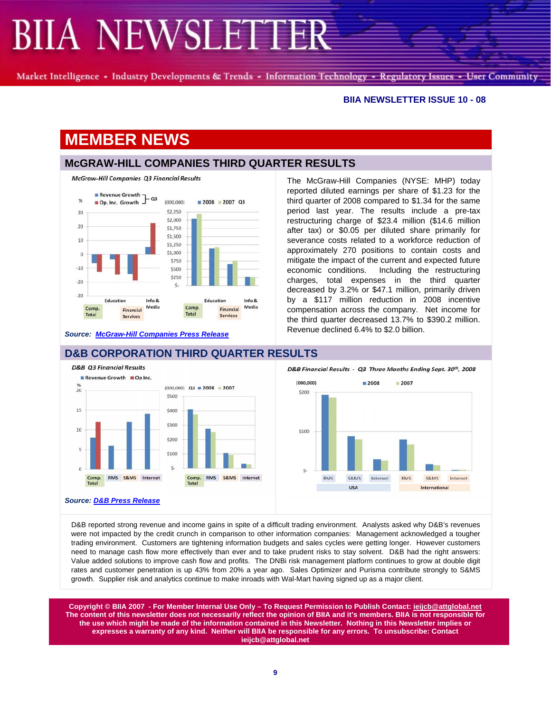Market Intelligence - Industry Developments & Trends - Information Technology - Regulatory Issues - User Community

#### **BIIA NEWSLETTER ISSUE 10 - 08**

## **MEMBER NEWS**

 $-20$ 

 $-30$ 

 $C<sub>OM</sub>$ 

Total

Education

Financial

Services

## **McGRAW-HILL COMPANIES THIRD QUARTER RESULTS**

Education

Financial

**Services** 

Info &

Media



*Source: McGraw-Hill Companies Press Release*

Info &

Media

The McGraw-Hill Companies (NYSE: MHP) today reported diluted earnings per share of \$1.23 for the third quarter of 2008 compared to \$1.34 for the same period last year. The results include a pre-tax restructuring charge of \$23.4 million (\$14.6 million after tax) or \$0.05 per diluted share primarily for severance costs related to a workforce reduction of approximately 270 positions to contain costs and mitigate the impact of the current and expected future economic conditions. Including the restructuring charges, total expenses in the third quarter decreased by 3.2% or \$47.1 million, primarily driven by a \$117 million reduction in 2008 incentive compensation across the company. Net income for the third quarter decreased 13.7% to \$390.2 million. Revenue declined 6.4% to \$2.0 billion.



#### **D&B CORPORATION THIRD QUARTER RESULTS**

Comp

Total

 $\zeta$ 



D&B reported strong revenue and income gains in spite of a difficult trading environment. Analysts asked why D&B's revenues were not impacted by the credit crunch in comparison to other information companies: Management acknowledged a tougher trading environment. Customers are tightening information budgets and sales cycles were getting longer. However customers need to manage cash flow more effectively than ever and to take prudent risks to stay solvent. D&B had the right answers: Value added solutions to improve cash flow and profits. The DNBi risk management platform continues to grow at double digit rates and customer penetration is up 43% from 20% a year ago. Sales Optimizer and Purisma contribute strongly to S&MS growth. Supplier risk and analytics continue to make inroads with Wal-Mart having signed up as a major client.

**Copyright © BIIA 2007 - For Member Internal Use Only – To Request Permission to Publish Contact: ieijcb@attglobal.net The content of this newsletter does not necessarily reflect the opinion of BIIA and it's members. BIIA is not responsible for the use which might be made of the information contained in this Newsletter. Nothing in this Newsletter implies or expresses a warranty of any kind. Neither will BIIA be responsible for any errors. To unsubscribe: Contact ieijcb@attglobal.net**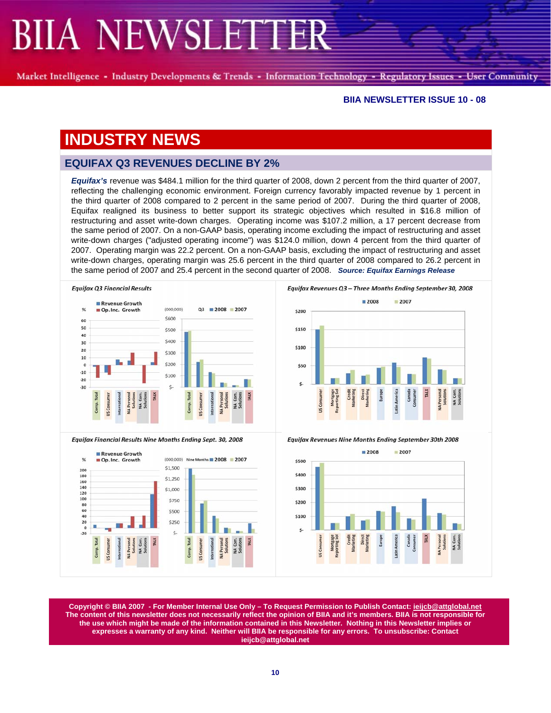Market Intelligence - Industry Developments & Trends - Information Technology - Regulatory Issues - User Community

#### **BIIA NEWSLETTER ISSUE 10 - 08**

## **INDUSTRY NEWS**

### **EQUIFAX Q3 REVENUES DECLINE BY 2%**

*Equifax's* revenue was \$484.1 million for the third quarter of 2008, down 2 percent from the third quarter of 2007, reflecting the challenging economic environment. Foreign currency favorably impacted revenue by 1 percent in the third quarter of 2008 compared to 2 percent in the same period of 2007. During the third quarter of 2008, Equifax realigned its business to better support its strategic objectives which resulted in \$16.8 million of restructuring and asset write-down charges. Operating income was \$107.2 million, a 17 percent decrease from the same period of 2007. On a non-GAAP basis, operating income excluding the impact of restructuring and asset write-down charges ("adjusted operating income") was \$124.0 million, down 4 percent from the third quarter of 2007. Operating margin was 22.2 percent. On a non-GAAP basis, excluding the impact of restructuring and asset write-down charges, operating margin was 25.6 percent in the third quarter of 2008 compared to 26.2 percent in the same period of 2007 and 25.4 percent in the second quarter of 2008. *Source: Equifax Earnings Release*



Equifax Financial Results Nine Months Ending Sept. 30, 2008





**Equifax Revenues Nine Months Ending September 30th 2008** 



**Copyright © BIIA 2007 - For Member Internal Use Only – To Request Permission to Publish Contact: ieijcb@attglobal.net The content of this newsletter does not necessarily reflect the opinion of BIIA and it's members. BIIA is not responsible for the use which might be made of the information contained in this Newsletter. Nothing in this Newsletter implies or expresses a warranty of any kind. Neither will BIIA be responsible for any errors. To unsubscribe: Contact ieijcb@attglobal.net**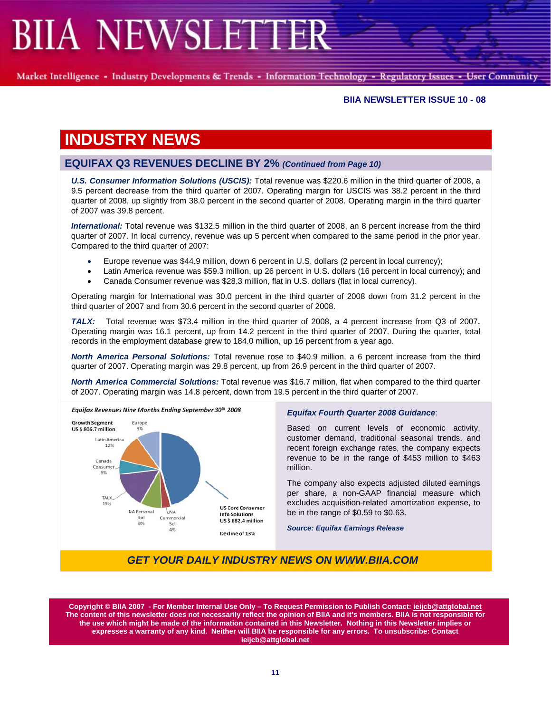Market Intelligence - Industry Developments & Trends - Information Technology - Regulatory Issues - User Community

#### **BIIA NEWSLETTER ISSUE 10 - 08**

## **INDUSTRY NEWS**

## **EQUIFAX Q3 REVENUES DECLINE BY 2%** *(Continued from Page 10)*

*U.S. Consumer Information Solutions (USCIS):* Total revenue was \$220.6 million in the third quarter of 2008, a 9.5 percent decrease from the third quarter of 2007. Operating margin for USCIS was 38.2 percent in the third quarter of 2008, up slightly from 38.0 percent in the second quarter of 2008. Operating margin in the third quarter of 2007 was 39.8 percent.

*International:* Total revenue was \$132.5 million in the third quarter of 2008, an 8 percent increase from the third quarter of 2007. In local currency, revenue was up 5 percent when compared to the same period in the prior year. Compared to the third quarter of 2007:

- Europe revenue was \$44.9 million, down 6 percent in U.S. dollars (2 percent in local currency);
- Latin America revenue was \$59.3 million, up 26 percent in U.S. dollars (16 percent in local currency); and
- Canada Consumer revenue was \$28.3 million, flat in U.S. dollars (flat in local currency).

Operating margin for International was 30.0 percent in the third quarter of 2008 down from 31.2 percent in the third quarter of 2007 and from 30.6 percent in the second quarter of 2008.

*TALX:* Total revenue was \$73.4 million in the third quarter of 2008, a 4 percent increase from Q3 of 2007. Operating margin was 16.1 percent, up from 14.2 percent in the third quarter of 2007. During the quarter, total records in the employment database grew to 184.0 million, up 16 percent from a year ago.

*North America Personal Solutions:* Total revenue rose to \$40.9 million, a 6 percent increase from the third quarter of 2007. Operating margin was 29.8 percent, up from 26.9 percent in the third quarter of 2007.

*North America Commercial Solutions:* Total revenue was \$16.7 million, flat when compared to the third quarter of 2007. Operating margin was 14.8 percent, down from 19.5 percent in the third quarter of 2007.



#### *Equifax Fourth Quarter 2008 Guidance*:

Based on current levels of economic activity, customer demand, traditional seasonal trends, and recent foreign exchange rates, the company expects revenue to be in the range of \$453 million to \$463 million.

The company also expects adjusted diluted earnings per share, a non-GAAP financial measure which excludes acquisition-related amortization expense, to be in the range of \$0.59 to \$0.63.

*Source: Equifax Earnings Release*

## *GET YOUR DAILY INDUSTRY NEWS ON WWW.BIIA.COM*

**Copyright © BIIA 2007 - For Member Internal Use Only – To Request Permission to Publish Contact: ieijcb@attglobal.net The content of this newsletter does not necessarily reflect the opinion of BIIA and it's members. BIIA is not responsible for the use which might be made of the information contained in this Newsletter. Nothing in this Newsletter implies or expresses a warranty of any kind. Neither will BIIA be responsible for any errors. To unsubscribe: Contact ieijcb@attglobal.net**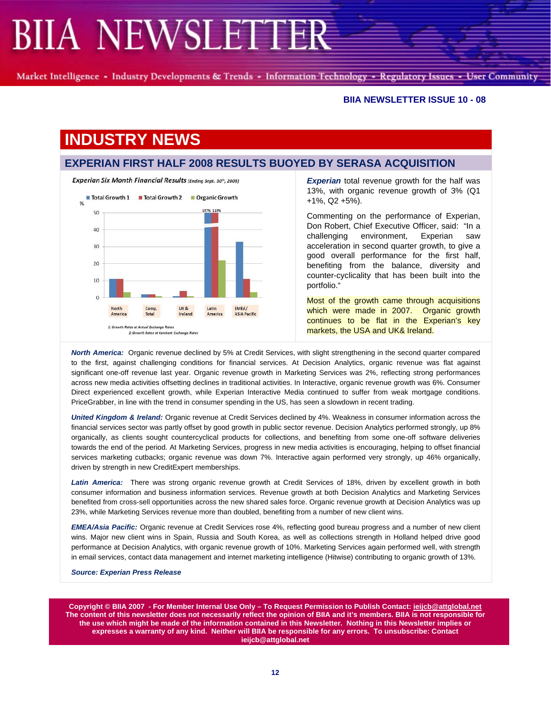Market Intelligence - Industry Developments & Trends - Information Technology - Regulatory Issues - User Community

#### **BIIA NEWSLETTER ISSUE 10 - 08**

## **INDUSTRY NEWS**

### **EXPERIAN FIRST HALF 2008 RESULTS BUOYED BY SERASA ACQUISITION**



*Experian* total revenue growth for the half was 13%, with organic revenue growth of 3% (Q1 +1%, Q2 +5%).

Commenting on the performance of Experian, Don Robert, Chief Executive Officer, said: "In a challenging environment, Experian saw acceleration in second quarter growth, to give a good overall performance for the first half, benefiting from the balance, diversity and counter-cyclicality that has been built into the portfolio."

Most of the growth came through acquisitions which were made in 2007. Organic growth continues to be flat in the Experian's key markets, the USA and UK& Ireland.

*North America:* Organic revenue declined by 5% at Credit Services, with slight strengthening in the second quarter compared to the first, against challenging conditions for financial services. At Decision Analytics, organic revenue was flat against significant one-off revenue last year. Organic revenue growth in Marketing Services was 2%, reflecting strong performances across new media activities offsetting declines in traditional activities. In Interactive, organic revenue growth was 6%. Consumer Direct experienced excellent growth, while Experian Interactive Media continued to suffer from weak mortgage conditions. PriceGrabber, in line with the trend in consumer spending in the US, has seen a slowdown in recent trading.

*United Kingdom & Ireland:* Organic revenue at Credit Services declined by 4%. Weakness in consumer information across the financial services sector was partly offset by good growth in public sector revenue. Decision Analytics performed strongly, up 8% organically, as clients sought countercyclical products for collections, and benefiting from some one-off software deliveries towards the end of the period. At Marketing Services, progress in new media activities is encouraging, helping to offset financial services marketing cutbacks; organic revenue was down 7%. Interactive again performed very strongly, up 46% organically, driven by strength in new CreditExpert memberships.

Latin America: There was strong organic revenue growth at Credit Services of 18%, driven by excellent growth in both consumer information and business information services. Revenue growth at both Decision Analytics and Marketing Services benefited from cross-sell opportunities across the new shared sales force. Organic revenue growth at Decision Analytics was up 23%, while Marketing Services revenue more than doubled, benefiting from a number of new client wins.

*EMEA/Asia Pacific:* Organic revenue at Credit Services rose 4%, reflecting good bureau progress and a number of new client wins. Major new client wins in Spain, Russia and South Korea, as well as collections strength in Holland helped drive good performance at Decision Analytics, with organic revenue growth of 10%. Marketing Services again performed well, with strength in email services, contact data management and internet marketing intelligence (Hitwise) contributing to organic growth of 13%.

*Source: Experian Press Release*

**Copyright © BIIA 2007 - For Member Internal Use Only – To Request Permission to Publish Contact: ieijcb@attglobal.net The content of this newsletter does not necessarily reflect the opinion of BIIA and it's members. BIIA is not responsible for the use which might be made of the information contained in this Newsletter. Nothing in this Newsletter implies or expresses a warranty of any kind. Neither will BIIA be responsible for any errors. To unsubscribe: Contact ieijcb@attglobal.net**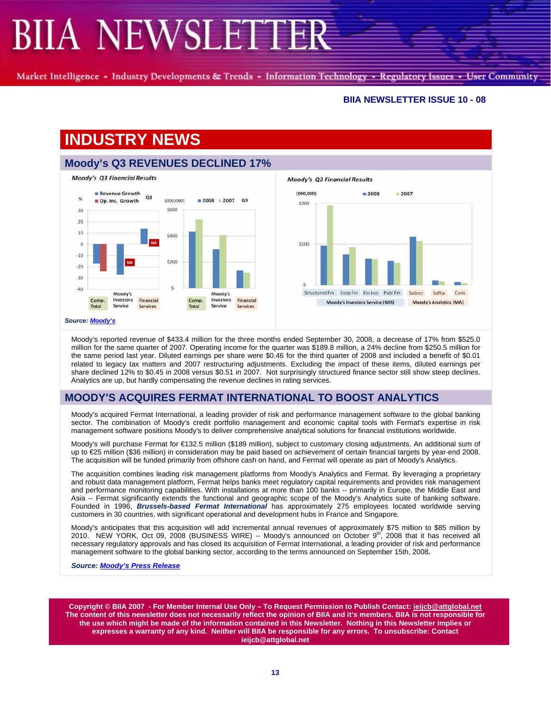Market Intelligence - Industry Developments & Trends - Information Technology - Regulatory Issues - User Community

#### **BIIA NEWSLETTER ISSUE 10 - 08**

# **INDUSTRY NEWS**





Moody's reported revenue of \$433.4 million for the three months ended September 30, 2008, a decrease of 17% from \$525.0 million for the same quarter of 2007. Operating income for the quarter was \$189.8 million, a 24% decline from \$250.5 million for the same period last year. Diluted earnings per share were \$0.46 for the third quarter of 2008 and included a benefit of \$0.01 related to legacy tax matters and 2007 restructuring adjustments. Excluding the impact of these items, diluted earnings per share declined 12% to \$0.45 in 2008 versus \$0.51 in 2007. Not surprisingly structured finance sector still show steep declines. Analytics are up, but hardly compensating the revenue declines in rating services.

## **MOODY'S ACQUIRES FERMAT INTERNATIONAL TO BOOST ANALYTICS**

Moody's acquired Fermat International, a leading provider of risk and performance management software to the global banking sector. The combination of Moody's credit portfolio management and economic capital tools with Fermat's expertise in risk management software positions Moody's to deliver comprehensive analytical solutions for financial institutions worldwide.

Moody's will purchase Fermat for €132.5 million (\$189 million), subject to customary closing adjustments. An additional sum of up to €25 million (\$36 million) in consideration may be paid based on achievement of certain financial targets by year-end 2008. The acquisition will be funded primarily from offshore cash on hand, and Fermat will operate as part of Moody's Analytics.

The acquisition combines leading risk management platforms from Moody's Analytics and Fermat. By leveraging a proprietary and robust data management platform, Fermat helps banks meet regulatory capital requirements and provides risk management and performance monitoring capabilities. With installations at more than 100 banks -- primarily in Europe, the Middle East and Asia -- Fermat significantly extends the functional and geographic scope of the Moody's Analytics suite of banking software. Founded in 1996, *Brussels-based Fermat International* has approximately 275 employees located worldwide serving customers in 30 countries, with significant operational and development hubs in France and Singapore.

Moody's anticipates that this acquisition will add incremental annual revenues of approximately \$75 million to \$85 million by 2010. NEW YORK, Oct 09, 2008 (BUSINESS WIRE) -- Moody's announced on October 9<sup>th</sup>, 2008 that it has received all necessary regulatory approvals and has closed its acquisition of Fermat International, a leading provider of risk and performance management software to the global banking sector, according to the terms announced on September 15th, 2008*.* 

*Source: Moody's Press Release*

**Copyright © BIIA 2007 - For Member Internal Use Only – To Request Permission to Publish Contact: ieijcb@attglobal.net The content of this newsletter does not necessarily reflect the opinion of BIIA and it's members. BIIA is not responsible for the use which might be made of the information contained in this Newsletter. Nothing in this Newsletter implies or expresses a warranty of any kind. Neither will BIIA be responsible for any errors. To unsubscribe: Contact ieijcb@attglobal.net**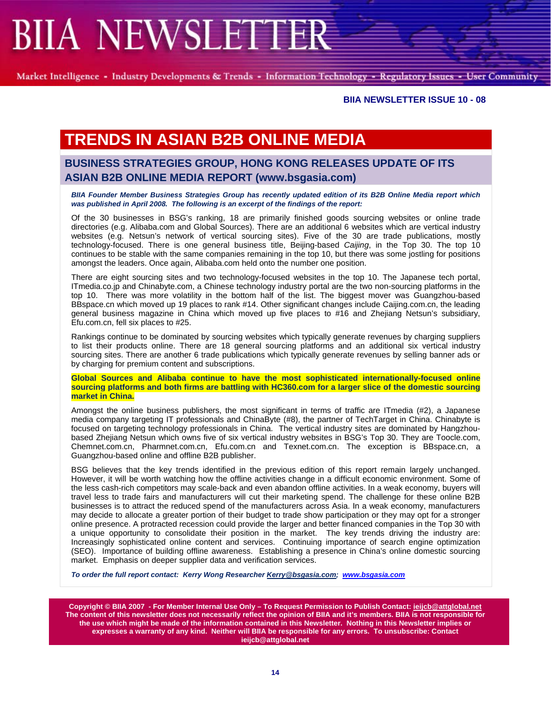Market Intelligence - Industry Developments & Trends - Information Technology - Regulatory Issues - User Community

#### **BIIA NEWSLETTER ISSUE 10 - 08**

# **TRENDS IN ASIAN B2B ONLINE MEDIA**

## **BUSINESS STRATEGIES GROUP, HONG KONG RELEASES UPDATE OF ITS ASIAN B2B ONLINE MEDIA REPORT (www.bsgasia.com)**

*BIIA Founder Member Business Strategies Group has recently updated edition of its B2B Online Media report which was published in April 2008. The following is an excerpt of the findings of the report:* 

Of the 30 businesses in BSG's ranking, 18 are primarily finished goods sourcing websites or online trade directories (e.g. Alibaba.com and Global Sources). There are an additional 6 websites which are vertical industry websites (e.g. Netsun's network of vertical sourcing sites). Five of the 30 are trade publications, mostly technology-focused. There is one general business title, Beijing-based *Caijing*, in the Top 30. The top 10 continues to be stable with the same companies remaining in the top 10, but there was some jostling for positions amongst the leaders. Once again, Alibaba.com held onto the number one position.

There are eight sourcing sites and two technology-focused websites in the top 10. The Japanese tech portal, ITmedia.co.jp and Chinabyte.com, a Chinese technology industry portal are the two non-sourcing platforms in the top 10. There was more volatility in the bottom half of the list. The biggest mover was Guangzhou-based BBspace.cn which moved up 19 places to rank #14. Other significant changes include Caijing.com.cn, the leading general business magazine in China which moved up five places to #16 and Zhejiang Netsun's subsidiary, Efu.com.cn, fell six places to #25.

Rankings continue to be dominated by sourcing websites which typically generate revenues by charging suppliers to list their products online. There are 18 general sourcing platforms and an additional six vertical industry sourcing sites. There are another 6 trade publications which typically generate revenues by selling banner ads or by charging for premium content and subscriptions.

**Global Sources and Alibaba continue to have the most sophisticated internationally-focused online sourcing platforms and both firms are battling with HC360.com for a larger slice of the domestic sourcing market in China.** 

Amongst the online business publishers, the most significant in terms of traffic are ITmedia (#2), a Japanese media company targeting IT professionals and ChinaByte (#8), the partner of TechTarget in China. Chinabyte is focused on targeting technology professionals in China. The vertical industry sites are dominated by Hangzhoubased Zhejiang Netsun which owns five of six vertical industry websites in BSG's Top 30. They are Toocle.com, Chemnet.com.cn, Pharmnet.com.cn, Efu.com.cn and Texnet.com.cn. The exception is BBspace.cn, a Guangzhou-based online and offline B2B publisher.

BSG believes that the key trends identified in the previous edition of this report remain largely unchanged. However, it will be worth watching how the offline activities change in a difficult economic environment. Some of the less cash-rich competitors may scale-back and even abandon offline activities. In a weak economy, buyers will travel less to trade fairs and manufacturers will cut their marketing spend. The challenge for these online B2B businesses is to attract the reduced spend of the manufacturers across Asia. In a weak economy, manufacturers may decide to allocate a greater portion of their budget to trade show participation or they may opt for a stronger online presence. A protracted recession could provide the larger and better financed companies in the Top 30 with a unique opportunity to consolidate their position in the market. The key trends driving the industry are: Increasingly sophisticated online content and services. Continuing importance of search engine optimization (SEO). Importance of building offline awareness. Establishing a presence in China's online domestic sourcing market. Emphasis on deeper supplier data and verification services.

*To order the full report contact: Kerry Wong Researcher Kerry@bsgasia.com; www.bsgasia.com*

**Copyright © BIIA 2007 - For Member Internal Use Only – To Request Permission to Publish Contact: ieijcb@attglobal.net The content of this newsletter does not necessarily reflect the opinion of BIIA and it's members. BIIA is not responsible for the use which might be made of the information contained in this Newsletter. Nothing in this Newsletter implies or expresses a warranty of any kind. Neither will BIIA be responsible for any errors. To unsubscribe: Contact ieijcb@attglobal.net**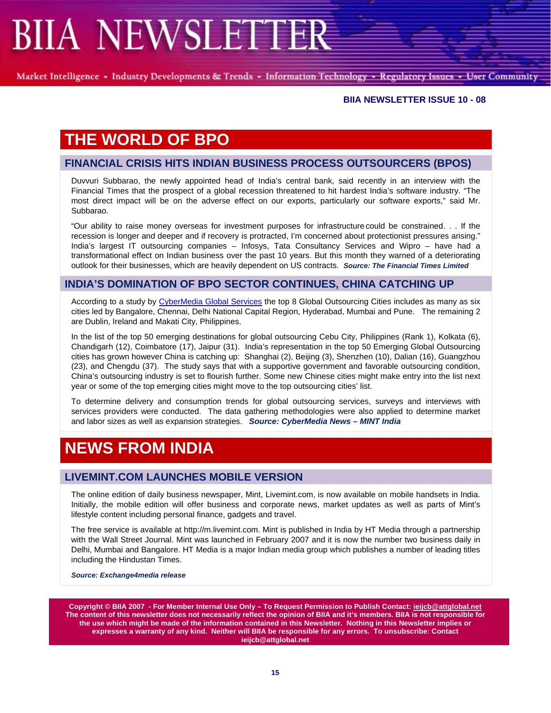Market Intelligence - Industry Developments & Trends - Information Technology - Regulatory Issues - User Community

#### **BIIA NEWSLETTER ISSUE 10 - 08**

## **THE WORLD OF BPO**

### **FINANCIAL CRISIS HITS INDIAN BUSINESS PROCESS OUTSOURCERS (BPOS)**

Duvvuri Subbarao, the newly appointed head of India's central bank, said recently in an interview with the Financial Times that the prospect of a global recession threatened to hit hardest India's software industry. "The most direct impact will be on the adverse effect on our exports, particularly our software exports," said Mr. Subbarao.

"Our ability to raise money overseas for investment purposes for infrastructure could be constrained. . . If the recession is longer and deeper and if recovery is protracted, I'm concerned about protectionist pressures arising." India's largest IT outsourcing companies – Infosys, Tata Consultancy Services and Wipro – have had a transformational effect on Indian business over the past 10 years. But this month they warned of a deteriorating outlook for their businesses, which are heavily dependent on US contracts. *Source: The Financial Times Limited*

#### **INDIA'S DOMINATION OF BPO SECTOR CONTINUES, CHINA CATCHING UP**

According to a study by CyberMedia Global Services the top 8 Global Outsourcing Cities includes as many as six cities led by Bangalore, Chennai, Delhi National Capital Region, Hyderabad, Mumbai and Pune. The remaining 2 are Dublin, Ireland and Makati City, Philippines.

In the list of the top 50 emerging destinations for global outsourcing Cebu City, Philippines (Rank 1), Kolkata (6), Chandigarh (12), Coimbatore (17), Jaipur (31). India's representation in the top 50 Emerging Global Outsourcing cities has grown however China is catching up: Shanghai (2), Beijing (3), Shenzhen (10), Dalian (16), Guangzhou (23), and Chengdu (37). The study says that with a supportive government and favorable outsourcing condition, China's outsourcing industry is set to flourish further. Some new Chinese cities might make entry into the list next year or some of the top emerging cities might move to the top outsourcing cities' list.

To determine delivery and consumption trends for global outsourcing services, surveys and interviews with services providers were conducted. The data gathering methodologies were also applied to determine market and labor sizes as well as expansion strategies. *Source: CyberMedia News – MINT India*

# **NEWS FROM INDIA**

### **LIVEMINT.COM LAUNCHES MOBILE VERSION**

The online edition of daily business newspaper, Mint, Livemint.com, is now available on mobile handsets in India. Initially, the mobile edition will offer business and corporate news, market updates as well as parts of Mint's lifestyle content including personal finance, gadgets and travel.

The free service is available at http://m.livemint.com. Mint is published in India by HT Media through a partnership with the Wall Street Journal. Mint was launched in February 2007 and it is now the number two business daily in Delhi, Mumbai and Bangalore. HT Media is a major Indian media group which publishes a number of leading titles including the Hindustan Times.

*Source: Exchange4media release* 

**Copyright © BIIA 2007 - For Member Internal Use Only – To Request Permission to Publish Contact: ieijcb@attglobal.net The content of this newsletter does not necessarily reflect the opinion of BIIA and it's members. BIIA is not responsible for the use which might be made of the information contained in this Newsletter. Nothing in this Newsletter implies or expresses a warranty of any kind. Neither will BIIA be responsible for any errors. To unsubscribe: Contact ieijcb@attglobal.net**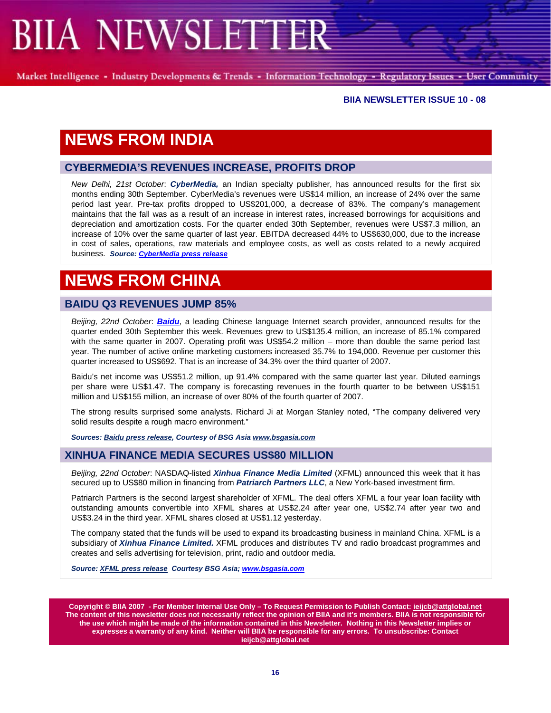Market Intelligence - Industry Developments & Trends - Information Technology - Regulatory Issues - User Community

#### **BIIA NEWSLETTER ISSUE 10 - 08**

# **NEWS FROM INDIA**

### **CYBERMEDIA'S REVENUES INCREASE, PROFITS DROP**

*New Delhi, 21st October*: *CyberMedia,* an Indian specialty publisher, has announced results for the first six months ending 30th September. CyberMedia's revenues were US\$14 million, an increase of 24% over the same period last year. Pre-tax profits dropped to US\$201,000, a decrease of 83%. The company's management maintains that the fall was as a result of an increase in interest rates, increased borrowings for acquisitions and depreciation and amortization costs. For the quarter ended 30th September, revenues were US\$7.3 million, an increase of 10% over the same quarter of last year. EBITDA decreased 44% to US\$630,000, due to the increase in cost of sales, operations, raw materials and employee costs, as well as costs related to a newly acquired business. *Source: CyberMedia press release*

# **NEWS FROM CHINA**

### **BAIDU Q3 REVENUES JUMP 85%**

*Beijing, 22nd October*: *Baidu*, a leading Chinese language Internet search provider, announced results for the quarter ended 30th September this week. Revenues grew to US\$135.4 million, an increase of 85.1% compared with the same quarter in 2007. Operating profit was US\$54.2 million – more than double the same period last year. The number of active online marketing customers increased 35.7% to 194,000. Revenue per customer this quarter increased to US\$692. That is an increase of 34.3% over the third quarter of 2007.

Baidu's net income was US\$51.2 million, up 91.4% compared with the same quarter last year. Diluted earnings per share were US\$1.47. The company is forecasting revenues in the fourth quarter to be between US\$151 million and US\$155 million, an increase of over 80% of the fourth quarter of 2007.

The strong results surprised some analysts. Richard Ji at Morgan Stanley noted, "The company delivered very solid results despite a rough macro environment."

*Sources: Baidu press release, Courtesy of BSG Asia www.bsgasia.com*

#### **XINHUA FINANCE MEDIA SECURES US\$80 MILLION**

*Beijing, 22nd October*: NASDAQ-listed *Xinhua Finance Media Limited* (XFML) announced this week that it has secured up to US\$80 million in financing from *Patriarch Partners LLC*, a New York-based investment firm.

Patriarch Partners is the second largest shareholder of XFML. The deal offers XFML a four year loan facility with outstanding amounts convertible into XFML shares at US\$2.24 after year one, US\$2.74 after year two and US\$3.24 in the third year. XFML shares closed at US\$1.12 yesterday.

The company stated that the funds will be used to expand its broadcasting business in mainland China. XFML is a subsidiary of *Xinhua Finance Limited.* XFML produces and distributes TV and radio broadcast programmes and creates and sells advertising for television, print, radio and outdoor media.

*Source: XFML press release Courtesy BSG Asia; www.bsgasia.com* 

**Copyright © BIIA 2007 - For Member Internal Use Only – To Request Permission to Publish Contact: ieijcb@attglobal.net The content of this newsletter does not necessarily reflect the opinion of BIIA and it's members. BIIA is not responsible for the use which might be made of the information contained in this Newsletter. Nothing in this Newsletter implies or expresses a warranty of any kind. Neither will BIIA be responsible for any errors. To unsubscribe: Contact ieijcb@attglobal.net**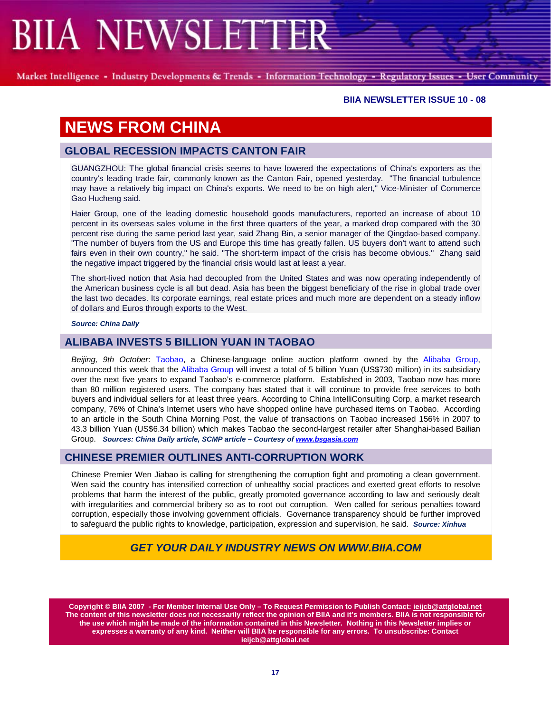Market Intelligence - Industry Developments & Trends - Information Technology - Regulatory Issues - User Community

#### **BIIA NEWSLETTER ISSUE 10 - 08**

## **NEWS FROM CHINA**

### **GLOBAL RECESSION IMPACTS CANTON FAIR**

GUANGZHOU: The global financial crisis seems to have lowered the expectations of China's exporters as the country's leading trade fair, commonly known as the Canton Fair, opened yesterday. "The financial turbulence may have a relatively big impact on China's exports. We need to be on high alert," Vice-Minister of Commerce Gao Hucheng said.

Haier Group, one of the leading domestic household goods manufacturers, reported an increase of about 10 percent in its overseas sales volume in the first three quarters of the year, a marked drop compared with the 30 percent rise during the same period last year, said Zhang Bin, a senior manager of the Qingdao-based company. "The number of buyers from the US and Europe this time has greatly fallen. US buyers don't want to attend such fairs even in their own country," he said. "The short-term impact of the crisis has become obvious." Zhang said the negative impact triggered by the financial crisis would last at least a year.

The short-lived notion that Asia had decoupled from the United States and was now operating independently of the American business cycle is all but dead. Asia has been the biggest beneficiary of the rise in global trade over the last two decades. Its corporate earnings, real estate prices and much more are dependent on a steady inflow of dollars and Euros through exports to the West.

*Source: China Daily* 

### **ALIBABA INVESTS 5 BILLION YUAN IN TAOBAO**

*Beijing, 9th October*: Taobao, a Chinese-language online auction platform owned by the Alibaba Group, announced this week that the Alibaba Group will invest a total of 5 billion Yuan (US\$730 million) in its subsidiary over the next five years to expand Taobao's e-commerce platform. Established in 2003, Taobao now has more than 80 million registered users. The company has stated that it will continue to provide free services to both buyers and individual sellers for at least three years. According to China IntelliConsulting Corp, a market research company, 76% of China's Internet users who have shopped online have purchased items on Taobao. According to an article in the South China Morning Post, the value of transactions on Taobao increased 156% in 2007 to 43.3 billion Yuan (US\$6.34 billion) which makes Taobao the second-largest retailer after Shanghai-based Bailian Group. *Sources: China Daily article, SCMP article – Courtesy of www.bsgasia.com*

#### **CHINESE PREMIER OUTLINES ANTI-CORRUPTION WORK**

Chinese Premier Wen Jiabao is calling for strengthening the corruption fight and promoting a clean government. Wen said the country has intensified correction of unhealthy social practices and exerted great efforts to resolve problems that harm the interest of the public, greatly promoted governance according to law and seriously dealt with irregularities and commercial bribery so as to root out corruption. Wen called for serious penalties toward corruption, especially those involving government officials. Governance transparency should be further improved to safeguard the public rights to knowledge, participation, expression and supervision, he said. *Source: Xinhua*

## *GET YOUR DAILY INDUSTRY NEWS ON WWW.BIIA.COM*

**Copyright © BIIA 2007 - For Member Internal Use Only – To Request Permission to Publish Contact: ieijcb@attglobal.net The content of this newsletter does not necessarily reflect the opinion of BIIA and it's members. BIIA is not responsible for the use which might be made of the information contained in this Newsletter. Nothing in this Newsletter implies or expresses a warranty of any kind. Neither will BIIA be responsible for any errors. To unsubscribe: Contact ieijcb@attglobal.net**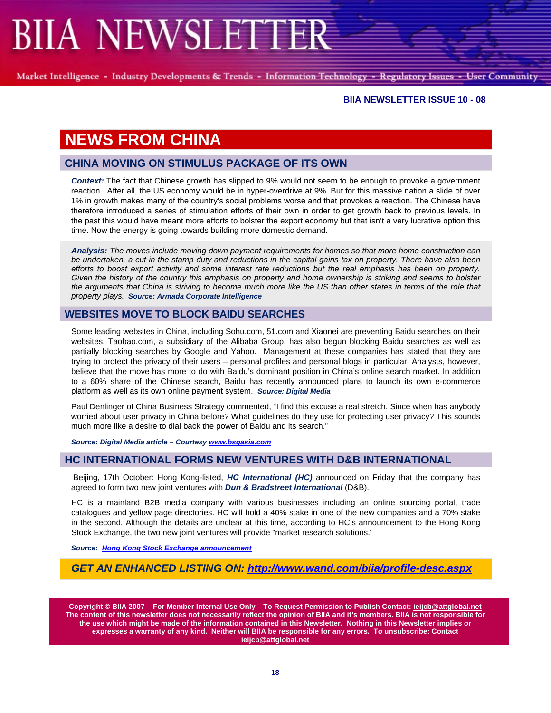Market Intelligence - Industry Developments & Trends - Information Technology - Regulatory Issues - User Community

#### **BIIA NEWSLETTER ISSUE 10 - 08**

# **NEWS FROM CHINA**

### **CHINA MOVING ON STIMULUS PACKAGE OF ITS OWN**

*Context:* The fact that Chinese growth has slipped to 9% would not seem to be enough to provoke a government reaction. After all, the US economy would be in hyper-overdrive at 9%. But for this massive nation a slide of over 1% in growth makes many of the country's social problems worse and that provokes a reaction. The Chinese have therefore introduced a series of stimulation efforts of their own in order to get growth back to previous levels. In the past this would have meant more efforts to bolster the export economy but that isn't a very lucrative option this time. Now the energy is going towards building more domestic demand.

*Analysis: The moves include moving down payment requirements for homes so that more home construction can be undertaken, a cut in the stamp duty and reductions in the capital gains tax on property. There have also been efforts to boost export activity and some interest rate reductions but the real emphasis has been on property. Given the history of the country this emphasis on property and home ownership is striking and seems to bolster the arguments that China is striving to become much more like the US than other states in terms of the role that property plays. Source: Armada Corporate Intelligence* 

### **WEBSITES MOVE TO BLOCK BAIDU SEARCHES**

Some leading websites in China, including Sohu.com, 51.com and Xiaonei are preventing Baidu searches on their websites. Taobao.com, a subsidiary of the Alibaba Group, has also begun blocking Baidu searches as well as partially blocking searches by Google and Yahoo. Management at these companies has stated that they are trying to protect the privacy of their users – personal profiles and personal blogs in particular. Analysts, however, believe that the move has more to do with Baidu's dominant position in China's online search market. In addition to a 60% share of the Chinese search, Baidu has recently announced plans to launch its own e-commerce platform as well as its own online payment system. *Source: Digital Media* 

Paul Denlinger of China Business Strategy commented, "I find this excuse a real stretch. Since when has anybody worried about user privacy in China before? What guidelines do they use for protecting user privacy? This sounds much more like a desire to dial back the power of Baidu and its search."

*Source: Digital Media article – Courtesy www.bsgasia.com* 

### **HC INTERNATIONAL FORMS NEW VENTURES WITH D&B INTERNATIONAL**

Beijing, 17th October: Hong Kong-listed, *HC International (HC)* announced on Friday that the company has agreed to form two new joint ventures with *Dun & Bradstreet International* (D&B).

HC is a mainland B2B media company with various businesses including an online sourcing portal, trade catalogues and yellow page directories. HC will hold a 40% stake in one of the new companies and a 70% stake in the second. Although the details are unclear at this time, according to HC's announcement to the Hong Kong Stock Exchange, the two new joint ventures will provide "market research solutions."

*Source: Hong Kong Stock Exchange announcement*

*GET AN ENHANCED LISTING ON: http://www.wand.com/biia/profile-desc.aspx*

**Copyright © BIIA 2007 - For Member Internal Use Only – To Request Permission to Publish Contact: ieijcb@attglobal.net The content of this newsletter does not necessarily reflect the opinion of BIIA and it's members. BIIA is not responsible for the use which might be made of the information contained in this Newsletter. Nothing in this Newsletter implies or expresses a warranty of any kind. Neither will BIIA be responsible for any errors. To unsubscribe: Contact ieijcb@attglobal.net**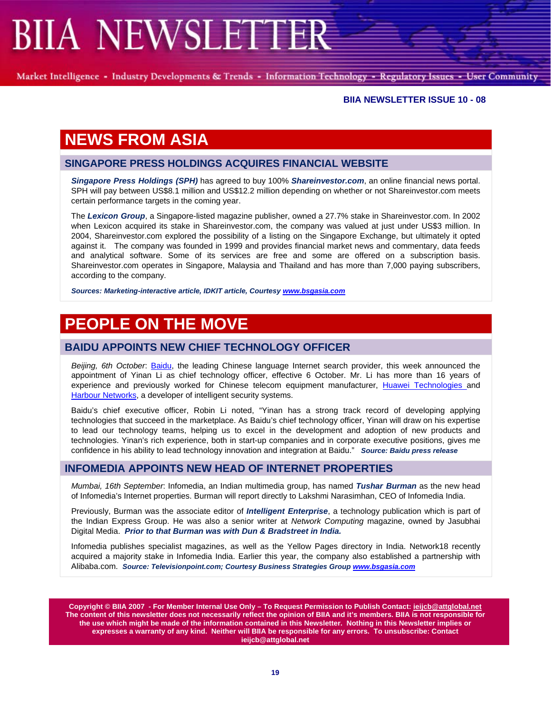Market Intelligence - Industry Developments & Trends - Information Technology - Regulatory Issues - User Community

#### **BIIA NEWSLETTER ISSUE 10 - 08**

## **NEWS FROM ASIA**

#### **SINGAPORE PRESS HOLDINGS ACQUIRES FINANCIAL WEBSITE**

*Singapore Press Holdings (SPH)* has agreed to buy 100% *Shareinvestor.com*, an online financial news portal. SPH will pay between US\$8.1 million and US\$12.2 million depending on whether or not Shareinvestor.com meets certain performance targets in the coming year.

The *Lexicon Group*, a Singapore-listed magazine publisher, owned a 27.7% stake in Shareinvestor.com. In 2002 when Lexicon acquired its stake in Shareinvestor.com, the company was valued at just under US\$3 million. In 2004, Shareinvestor.com explored the possibility of a listing on the Singapore Exchange, but ultimately it opted against it. The company was founded in 1999 and provides financial market news and commentary, data feeds and analytical software. Some of its services are free and some are offered on a subscription basis. Shareinvestor.com operates in Singapore, Malaysia and Thailand and has more than 7,000 paying subscribers, according to the company.

*Sources: Marketing-interactive article, IDKIT article, Courtesy www.bsgasia.com*

## **PEOPLE ON THE MOVE**

### **BAIDU APPOINTS NEW CHIEF TECHNOLOGY OFFICER**

*Beijing, 6th October*: Baidu, the leading Chinese language Internet search provider, this week announced the appointment of Yinan Li as chief technology officer, effective 6 October. Mr. Li has more than 16 years of experience and previously worked for Chinese telecom equipment manufacturer, Huawei Technologies and Harbour Networks, a developer of intelligent security systems.

Baidu's chief executive officer, Robin Li noted, "Yinan has a strong track record of developing applying technologies that succeed in the marketplace. As Baidu's chief technology officer, Yinan will draw on his expertise to lead our technology teams, helping us to excel in the development and adoption of new products and technologies. Yinan's rich experience, both in start-up companies and in corporate executive positions, gives me confidence in his ability to lead technology innovation and integration at Baidu." *Source: Baidu press release*

#### **INFOMEDIA APPOINTS NEW HEAD OF INTERNET PROPERTIES**

*Mumbai, 16th September*: Infomedia, an Indian multimedia group, has named *Tushar Burman* as the new head of Infomedia's Internet properties. Burman will report directly to Lakshmi Narasimhan, CEO of Infomedia India.

Previously, Burman was the associate editor of *Intelligent Enterprise*, a technology publication which is part of the Indian Express Group. He was also a senior writer at *Network Computing* magazine, owned by Jasubhai Digital Media. *Prior to that Burman was with Dun & Bradstreet in India.* 

Infomedia publishes specialist magazines, as well as the Yellow Pages directory in India. Network18 recently acquired a majority stake in Infomedia India. Earlier this year, the company also established a partnership with Alibaba.com. *Source: Televisionpoint.com; Courtesy Business Strategies Group www.bsgasia.com*

**Copyright © BIIA 2007 - For Member Internal Use Only – To Request Permission to Publish Contact: ieijcb@attglobal.net The content of this newsletter does not necessarily reflect the opinion of BIIA and it's members. BIIA is not responsible for the use which might be made of the information contained in this Newsletter. Nothing in this Newsletter implies or expresses a warranty of any kind. Neither will BIIA be responsible for any errors. To unsubscribe: Contact ieijcb@attglobal.net**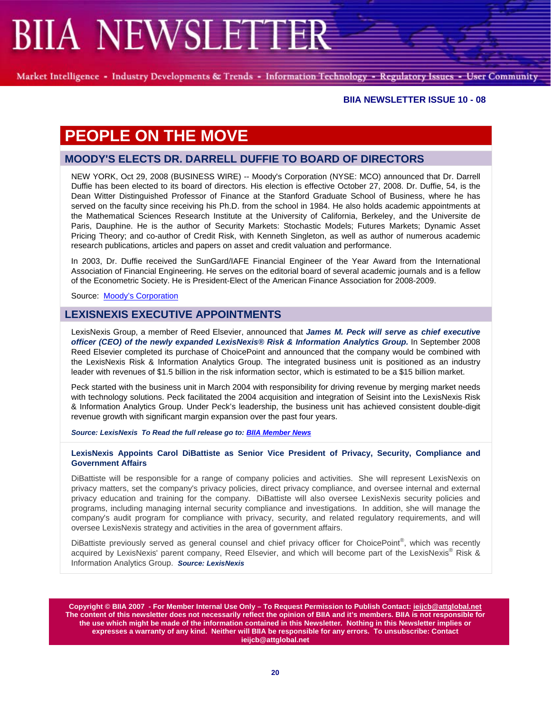Market Intelligence - Industry Developments & Trends - Information Technology - Regulatory Issues - User Community

#### **BIIA NEWSLETTER ISSUE 10 - 08**

# **PEOPLE ON THE MOVE**

## **MOODY'S ELECTS DR. DARRELL DUFFIE TO BOARD OF DIRECTORS**

NEW YORK, Oct 29, 2008 (BUSINESS WIRE) -- Moody's Corporation (NYSE: MCO) announced that Dr. Darrell Duffie has been elected to its board of directors. His election is effective October 27, 2008. Dr. Duffie, 54, is the Dean Witter Distinguished Professor of Finance at the Stanford Graduate School of Business, where he has served on the faculty since receiving his Ph.D. from the school in 1984. He also holds academic appointments at the Mathematical Sciences Research Institute at the University of California, Berkeley, and the Universite de Paris, Dauphine. He is the author of Security Markets: Stochastic Models; Futures Markets; Dynamic Asset Pricing Theory; and co-author of Credit Risk, with Kenneth Singleton, as well as author of numerous academic research publications, articles and papers on asset and credit valuation and performance.

In 2003, Dr. Duffie received the SunGard/IAFE Financial Engineer of the Year Award from the International Association of Financial Engineering. He serves on the editorial board of several academic journals and is a fellow of the Econometric Society. He is President-Elect of the American Finance Association for 2008-2009.

Source: Moody's Corporation

#### **LEXISNEXIS EXECUTIVE APPOINTMENTS**

LexisNexis Group, a member of Reed Elsevier, announced that *James M. Peck will serve as chief executive officer (CEO) of the newly expanded LexisNexis® Risk & Information Analytics Group.* In September 2008 Reed Elsevier completed its purchase of ChoicePoint and announced that the company would be combined with the LexisNexis Risk & Information Analytics Group. The integrated business unit is positioned as an industry leader with revenues of \$1.5 billion in the risk information sector, which is estimated to be a \$15 billion market.

Peck started with the business unit in March 2004 with responsibility for driving revenue by merging market needs with technology solutions. Peck facilitated the 2004 acquisition and integration of Seisint into the LexisNexis Risk & Information Analytics Group. Under Peck's leadership, the business unit has achieved consistent double-digit revenue growth with significant margin expansion over the past four years.

*Source: LexisNexis To Read the full release go to: BIIA Member News*

#### **LexisNexis Appoints Carol DiBattiste as Senior Vice President of Privacy, Security, Compliance and Government Affairs**

DiBattiste will be responsible for a range of company policies and activities. She will represent LexisNexis on privacy matters, set the company's privacy policies, direct privacy compliance, and oversee internal and external privacy education and training for the company. DiBattiste will also oversee LexisNexis security policies and programs, including managing internal security compliance and investigations. In addition, she will manage the company's audit program for compliance with privacy, security, and related regulatory requirements, and will oversee LexisNexis strategy and activities in the area of government affairs.

DiBattiste previously served as general counsel and chief privacy officer for ChoicePoint®, which was recently acquired by LexisNexis' parent company, Reed Elsevier, and which will become part of the LexisNexis® Risk & Information Analytics Group. *Source: LexisNexis*

**Copyright © BIIA 2007 - For Member Internal Use Only – To Request Permission to Publish Contact: ieijcb@attglobal.net The content of this newsletter does not necessarily reflect the opinion of BIIA and it's members. BIIA is not responsible for the use which might be made of the information contained in this Newsletter. Nothing in this Newsletter implies or expresses a warranty of any kind. Neither will BIIA be responsible for any errors. To unsubscribe: Contact ieijcb@attglobal.net**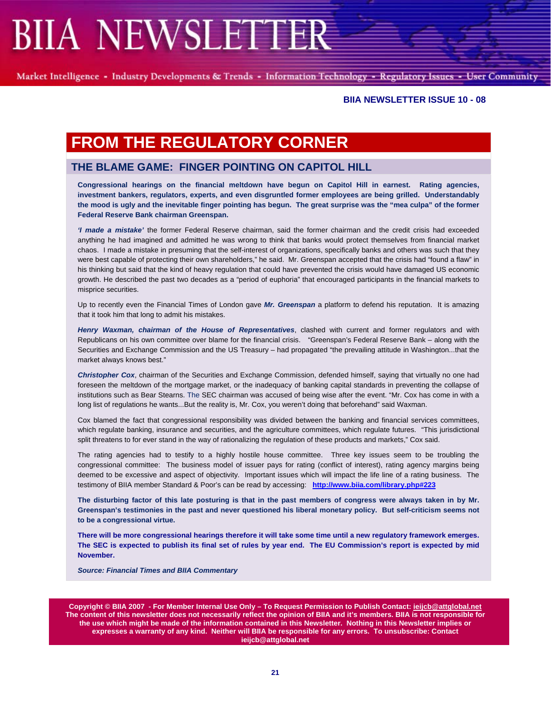Market Intelligence - Industry Developments & Trends - Information Technology - Regulatory Issues - User Community

#### **BIIA NEWSLETTER ISSUE 10 - 08**

## **FROM THE REGULATORY CORNER**

### **THE BLAME GAME: FINGER POINTING ON CAPITOL HILL**

**Congressional hearings on the financial meltdown have begun on Capitol Hill in earnest. Rating agencies, investment bankers, regulators, experts, and even disgruntled former employees are being grilled. Understandably the mood is ugly and the inevitable finger pointing has begun. The great surprise was the "mea culpa" of the former Federal Reserve Bank chairman Greenspan.** 

*'I made a mistake'* the former Federal Reserve chairman, said the former chairman and the credit crisis had exceeded anything he had imagined and admitted he was wrong to think that banks would protect themselves from financial market chaos. I made a mistake in presuming that the self-interest of organizations, specifically banks and others was such that they were best capable of protecting their own shareholders," he said. Mr. Greenspan accepted that the crisis had "found a flaw" in his thinking but said that the kind of heavy regulation that could have prevented the crisis would have damaged US economic growth. He described the past two decades as a "period of euphoria" that encouraged participants in the financial markets to misprice securities.

Up to recently even the Financial Times of London gave *Mr. Greenspan* a platform to defend his reputation. It is amazing that it took him that long to admit his mistakes.

*Henry Waxman, chairman of the House of Representatives*, clashed with current and former regulators and with Republicans on his own committee over blame for the financial crisis. "Greenspan's Federal Reserve Bank – along with the Securities and Exchange Commission and the US Treasury – had propagated "the prevailing attitude in Washington...that the market always knows best."

*Christopher Cox*, chairman of the Securities and Exchange Commission, defended himself, saying that virtually no one had foreseen the meltdown of the mortgage market, or the inadequacy of banking capital standards in preventing the collapse of institutions such as Bear Stearns. The SEC chairman was accused of being wise after the event. "Mr. Cox has come in with a long list of regulations he wants...But the reality is, Mr. Cox, you weren't doing that beforehand" said Waxman.

Cox blamed the fact that congressional responsibility was divided between the banking and financial services committees, which regulate banking, insurance and securities, and the agriculture committees, which regulate futures. "This jurisdictional split threatens to for ever stand in the way of rationalizing the regulation of these products and markets," Cox said.

The rating agencies had to testify to a highly hostile house committee. Three key issues seem to be troubling the congressional committee: The business model of issuer pays for rating (conflict of interest), rating agency margins being deemed to be excessive and aspect of objectivity. Important issues which will impact the life line of a rating business. The testimony of BIIA member Standard & Poor's can be read by accessing: **http://www.biia.com/library.php#223**

**The disturbing factor of this late posturing is that in the past members of congress were always taken in by Mr. Greenspan's testimonies in the past and never questioned his liberal monetary policy. But self-criticism seems not to be a congressional virtue.** 

**There will be more congressional hearings therefore it will take some time until a new regulatory framework emerges. The SEC is expected to publish its final set of rules by year end. The EU Commission's report is expected by mid November.** 

*Source: Financial Times and BIIA Commentary* 

**Copyright © BIIA 2007 - For Member Internal Use Only – To Request Permission to Publish Contact: ieijcb@attglobal.net The content of this newsletter does not necessarily reflect the opinion of BIIA and it's members. BIIA is not responsible for the use which might be made of the information contained in this Newsletter. Nothing in this Newsletter implies or expresses a warranty of any kind. Neither will BIIA be responsible for any errors. To unsubscribe: Contact ieijcb@attglobal.net**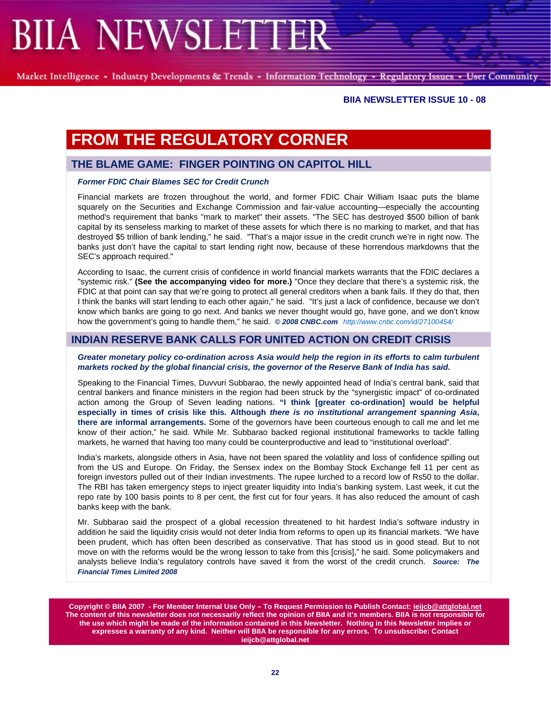Market Intelligence - Industry Developments & Trends - Information Technology - Regulatory Issues - User Community

#### **BIIA NEWSLETTER ISSUE 10 - 08**

# **FROM THE REGULATORY CORNER**

#### **THE BLAME GAME: FINGER POINTING ON CAPITOL HILL**

#### *Former FDIC Chair Blames SEC for Credit Crunch*

Financial markets are frozen throughout the world, and former FDIC Chair William Isaac puts the blame squarely on the Securities and Exchange Commission and fair-value accounting—especially the accounting method's requirement that banks "mark to market" their assets. "The SEC has destroyed \$500 billion of bank capital by its senseless marking to market of these assets for which there is no marking to market, and that has destroyed \$5 trillion of bank lending," he said. "That's a major issue in the credit crunch we're in right now. The banks just don't have the capital to start lending right now, because of these horrendous markdowns that the SEC's approach required."

According to Isaac, the current crisis of confidence in world financial markets warrants that the FDIC declares a "systemic risk." **(See the accompanying video for more.)** "Once they declare that there's a systemic risk, the FDIC at that point can say that we're going to protect all general creditors when a bank fails. If they do that, then I think the banks will start lending to each other again," he said. "It's just a lack of confidence, because we don't know which banks are going to go next. And banks we never thought would go, have gone, and we don't know how the government's going to handle them," he said. *© 2008 CNBC.com http://www.cnbc.com/id/27100454/*

### **INDIAN RESERVE BANK CALLS FOR UNITED ACTION ON CREDIT CRISIS**

#### *Greater monetary policy co-ordination across Asia would help the region in its efforts to calm turbulent markets rocked by the global financial crisis, the governor of the Reserve Bank of India has said.*

Speaking to the Financial Times, Duvvuri Subbarao, the newly appointed head of India's central bank, said that central bankers and finance ministers in the region had been struck by the "synergistic impact" of co-ordinated action among the Group of Seven leading nations. **"I think [greater co-ordination] would be helpful especially in times of crisis like this. Although** *there is no institutional arrangement spanning Asia***, there are informal arrangements.** Some of the governors have been courteous enough to call me and let me know of their action," he said. While Mr. Subbarao backed regional institutional frameworks to tackle falling markets, he warned that having too many could be counterproductive and lead to "institutional overload".

India's markets, alongside others in Asia, have not been spared the volatility and loss of confidence spilling out from the US and Europe. On Friday, the Sensex index on the Bombay Stock Exchange fell 11 per cent as foreign investors pulled out of their Indian investments. The rupee lurched to a record low of Rs50 to the dollar. The RBI has taken emergency steps to inject greater liquidity into India's banking system. Last week, it cut the repo rate by 100 basis points to 8 per cent, the first cut for four years. It has also reduced the amount of cash banks keep with the bank.

Mr. Subbarao said the prospect of a global recession threatened to hit hardest India's software industry in addition he said the liquidity crisis would not deter India from reforms to open up its financial markets. "We have been prudent, which has often been described as conservative. That has stood us in good stead. But to not move on with the reforms would be the wrong lesson to take from this [crisis]," he said. Some policymakers and analysts believe India's regulatory controls have saved it from the worst of the credit crunch. *Source: The Financial Times Limited 2008*

**Copyright © BIIA 2007 - For Member Internal Use Only – To Request Permission to Publish Contact: ieijcb@attglobal.net The content of this newsletter does not necessarily reflect the opinion of BIIA and it's members. BIIA is not responsible for the use which might be made of the information contained in this Newsletter. Nothing in this Newsletter implies or expresses a warranty of any kind. Neither will BIIA be responsible for any errors. To unsubscribe: Contact ieijcb@attglobal.net**